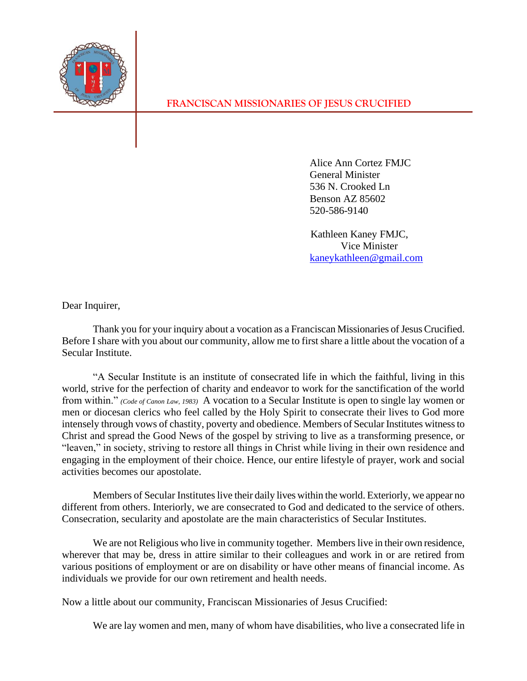

**FRANCISCAN MISSIONARIES OF JESUS CRUCIFIED**

Alice Ann Cortez FMJC General Minister 536 N. Crooked Ln Benson AZ 85602 520-586-9140

 Kathleen Kaney FMJC, Vice Minister [kaneykathleen@gmail.com](mailto:kaneykathleen@gmail.com)

Dear Inquirer,

Thank you for your inquiry about a vocation as a Franciscan Missionaries of Jesus Crucified. Before I share with you about our community, allow me to first share a little about the vocation of a Secular Institute.

"A Secular Institute is an institute of consecrated life in which the faithful, living in this world, strive for the perfection of charity and endeavor to work for the sanctification of the world from within." *(Code of Canon Law, 1983)* A vocation to a Secular Institute is open to single lay women or men or diocesan clerics who feel called by the Holy Spirit to consecrate their lives to God more intensely through vows of chastity, poverty and obedience. Members of Secular Institutes witness to Christ and spread the Good News of the gospel by striving to live as a transforming presence, or "leaven," in society, striving to restore all things in Christ while living in their own residence and engaging in the employment of their choice. Hence, our entire lifestyle of prayer, work and social activities becomes our apostolate.

Members of Secular Institutes live their daily lives within the world. Exteriorly, we appear no different from others. Interiorly, we are consecrated to God and dedicated to the service of others. Consecration, secularity and apostolate are the main characteristics of Secular Institutes.

We are not Religious who live in community together. Members live in their own residence, wherever that may be, dress in attire similar to their colleagues and work in or are retired from various positions of employment or are on disability or have other means of financial income. As individuals we provide for our own retirement and health needs.

Now a little about our community, Franciscan Missionaries of Jesus Crucified:

We are lay women and men, many of whom have disabilities, who live a consecrated life in